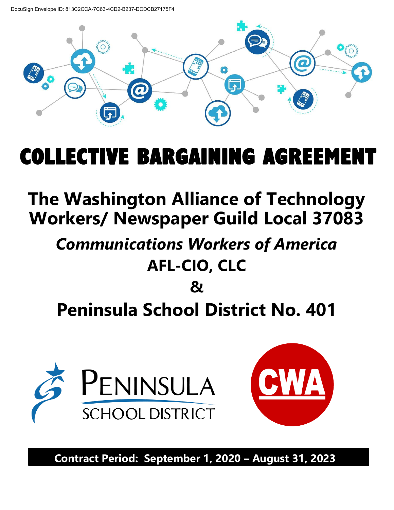DocuSign Envelope ID: 813C2CCA-7C63-4CD2-B237-DCDCB27175F4



# COLLECTIVE BARGAINING AGREEME

## **The Washington Alliance of Technology Workers/ Newspaper Guild Local 37083**

## *Communications Workers of America*  **AFL-CIO, CLC**

## **& Peninsula School District No. 401**





**Contract Period: September 1, 2020 – August 31, 2023**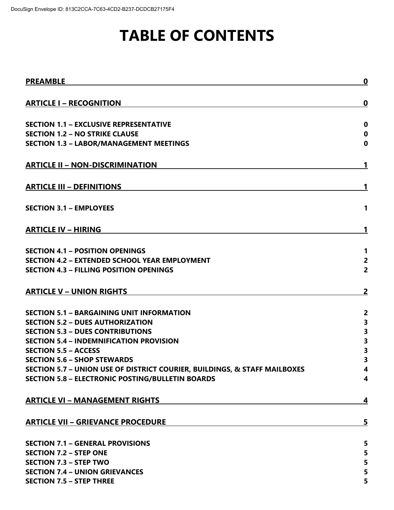## **TABLE OF CONTENTS**

| <b>PREAMBLE</b>                                                           | $\boldsymbol{0}$ |
|---------------------------------------------------------------------------|------------------|
| <b>ARTICLE I - RECOGNITION</b>                                            | 0                |
| <b>SECTION 1.1 - EXCLUSIVE REPRESENTATIVE</b>                             | $\bf{0}$         |
| <b>SECTION 1.2 - NO STRIKE CLAUSE</b>                                     | $\mathbf 0$      |
| <b>SECTION 1.3 - LABOR/MANAGEMENT MEETINGS</b>                            | $\bf{0}$         |
| <b>ARTICLE II - NON-DISCRIMINATION</b>                                    | 1                |
| <b>ARTICLE III - DEFINITIONS</b>                                          | 1                |
| <b>SECTION 3.1 - EMPLOYEES</b>                                            | 1                |
| <b>ARTICLE IV - HIRING</b>                                                | 1                |
| <b>SECTION 4.1 - POSITION OPENINGS</b>                                    | $\mathbf 1$      |
| <b>SECTION 4.2 - EXTENDED SCHOOL YEAR EMPLOYMENT</b>                      | $\overline{2}$   |
| <b>SECTION 4.3 - FILLING POSITION OPENINGS</b>                            | $\overline{2}$   |
| <b>ARTICLE V - UNION RIGHTS</b>                                           | $\overline{2}$   |
| <b>SECTION 5.1 - BARGAINING UNIT INFORMATION</b>                          | $\overline{2}$   |
| <b>SECTION 5.2 - DUES AUTHORIZATION</b>                                   | 3                |
| <b>SECTION 5.3 - DUES CONTRIBUTIONS</b>                                   | 3                |
| <b>SECTION 5.4 - INDEMNIFICATION PROVISION</b>                            | 3                |
| <b>SECTION 5.5 - ACCESS</b>                                               | 3                |
| <b>SECTION 5.6 - SHOP STEWARDS</b>                                        | 3                |
| SECTION 5.7 - UNION USE OF DISTRICT COURIER, BUILDINGS, & STAFF MAILBOXES | 4                |
| <b>SECTION 5.8 - ELECTRONIC POSTING/BULLETIN BOARDS</b>                   | 4                |
| <b>ARTICLE VI - MANAGEMENT RIGHTS</b>                                     | 4                |
| <b>ARTICLE VII - GRIEVANCE PROCEDURE</b>                                  | 5                |
| <b>SECTION 7.1 - GENERAL PROVISIONS</b>                                   | 5                |
| <b>SECTION 7.2 - STEP ONE</b>                                             | 5                |
| <b>SECTION 7.3 - STEP TWO</b>                                             | 5                |
| <b>SECTION 7.4 - UNION GRIEVANCES</b>                                     | 5                |
| <b>SECTION 7.5 - STEP THREE</b>                                           | 5                |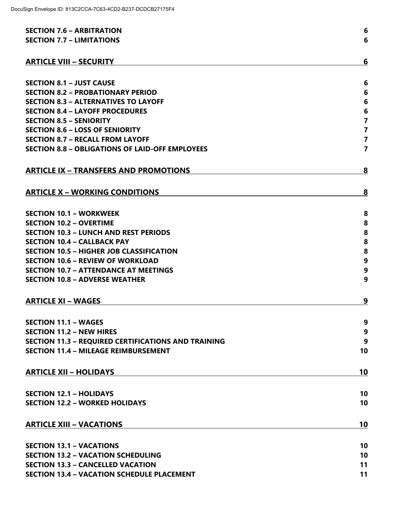| <b>SECTION 7.6 - ARBITRATION</b>                           | $6\phantom{1}6$         |
|------------------------------------------------------------|-------------------------|
| <b>SECTION 7.7 - LIMITATIONS</b>                           | 6                       |
|                                                            |                         |
| <b>ARTICLE VIII - SECURITY</b>                             | 6                       |
|                                                            |                         |
| <b>SECTION 8.1 - JUST CAUSE</b>                            | 6                       |
| <b>SECTION 8.2 - PROBATIONARY PERIOD</b>                   | 6                       |
| <b>SECTION 8.3 - ALTERNATIVES TO LAYOFF</b>                | $6\phantom{1}6$         |
| <b>SECTION 8.4 - LAYOFF PROCEDURES</b>                     | $\boldsymbol{6}$        |
| <b>SECTION 8.5 - SENIORITY</b>                             | $\overline{7}$          |
| <b>SECTION 8.6 - LOSS OF SENIORITY</b>                     | $\overline{\mathbf{7}}$ |
| <b>SECTION 8.7 - RECALL FROM LAYOFF</b>                    | $\overline{\mathbf{7}}$ |
| <b>SECTION 8.8 - OBLIGATIONS OF LAID-OFF EMPLOYEES</b>     | $\overline{7}$          |
| <b>ARTICLE IX - TRANSFERS AND PROMOTIONS</b>               | 8                       |
|                                                            |                         |
| <b>ARTICLE X - WORKING CONDITIONS</b>                      | 8                       |
| <b>SECTION 10.1 - WORKWEEK</b>                             | 8                       |
| <b>SECTION 10.2 - OVERTIME</b>                             | 8                       |
| <b>SECTION 10.3 - LUNCH AND REST PERIODS</b>               | 8                       |
| <b>SECTION 10.4 - CALLBACK PAY</b>                         | 8                       |
| <b>SECTION 10.5 - HIGHER JOB CLASSIFICATION</b>            | 8                       |
| <b>SECTION 10.6 - REVIEW OF WORKLOAD</b>                   | $\boldsymbol{9}$        |
| <b>SECTION 10.7 - ATTENDANCE AT MEETINGS</b>               | 9                       |
| <b>SECTION 10.8 - ADVERSE WEATHER</b>                      | 9                       |
|                                                            |                         |
| <b>ARTICLE XI - WAGES</b>                                  | 9                       |
| <b>SECTION 11.1 - WAGES</b>                                | 9                       |
| <b>SECTION 11.2 - NEW HIRES</b>                            | 9                       |
| <b>SECTION 11.3 - REQUIRED CERTIFICATIONS AND TRAINING</b> | 9                       |
| <b>SECTION 11.4 - MILEAGE REIMBURSEMENT</b>                | 10                      |
|                                                            |                         |
| <b>ARTICLE XII - HOLIDAYS</b>                              | 10                      |
| <b>SECTION 12.1 - HOLIDAYS</b>                             | 10                      |
| <b>SECTION 12.2 - WORKED HOLIDAYS</b>                      | 10                      |
|                                                            |                         |
| <b>ARTICLE XIII - VACATIONS</b>                            | 10                      |
|                                                            |                         |
| <b>SECTION 13.1 - VACATIONS</b>                            | 10                      |
| <b>SECTION 13.2 - VACATION SCHEDULING</b>                  | 10                      |
| <b>SECTION 13.3 - CANCELLED VACATION</b>                   | 11                      |
| <b>SECTION 13.4 - VACATION SCHEDULE PLACEMENT</b>          | 11                      |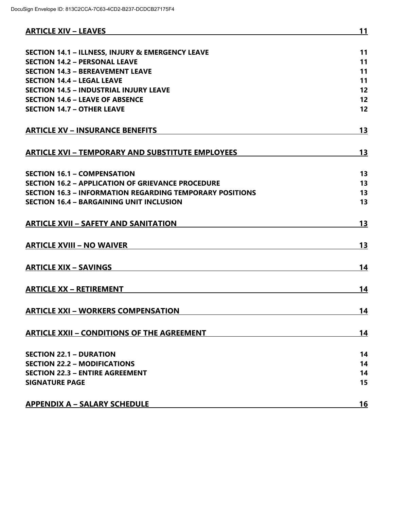| <b>SECTION 14.1 - ILLNESS, INJURY &amp; EMERGENCY LEAVE</b><br><b>SECTION 14.2 - PERSONAL LEAVE</b><br><b>SECTION 14.3 - BEREAVEMENT LEAVE</b><br><b>SECTION 14.4 - LEGAL LEAVE</b><br><b>SECTION 14.5 - INDUSTRIAL INJURY LEAVE</b><br><b>SECTION 14.6 - LEAVE OF ABSENCE</b><br><b>SECTION 14.7 - OTHER LEAVE</b><br><b>ARTICLE XV - INSURANCE BENEFITS</b><br><b>ARTICLE XVI - TEMPORARY AND SUBSTITUTE EMPLOYEES</b><br><b>SECTION 16.1 - COMPENSATION</b><br><b>SECTION 16.2 - APPLICATION OF GRIEVANCE PROCEDURE</b><br><b>SECTION 16.3 - INFORMATION REGARDING TEMPORARY POSITIONS</b><br><b>SECTION 16.4 - BARGAINING UNIT INCLUSION</b><br><b>ARTICLE XVII - SAFETY AND SANITATION</b><br><b>ARTICLE XVIII - NO WAIVER</b><br><b>ARTICLE XIX - SAVINGS</b><br><b>ARTICLE XX - RETIREMENT</b><br><b>ARTICLE XXI - WORKERS COMPENSATION</b><br><b>ARTICLE XXII - CONDITIONS OF THE AGREEMENT</b><br><b>SECTION 22.1 - DURATION</b><br><b>SECTION 22.2 - MODIFICATIONS</b><br><b>SECTION 22.3 - ENTIRE AGREEMENT</b><br><b>SIGNATURE PAGE</b> | <b>ARTICLE XIV - LEAVES</b> | 11 |
|-----------------------------------------------------------------------------------------------------------------------------------------------------------------------------------------------------------------------------------------------------------------------------------------------------------------------------------------------------------------------------------------------------------------------------------------------------------------------------------------------------------------------------------------------------------------------------------------------------------------------------------------------------------------------------------------------------------------------------------------------------------------------------------------------------------------------------------------------------------------------------------------------------------------------------------------------------------------------------------------------------------------------------------------------------|-----------------------------|----|
|                                                                                                                                                                                                                                                                                                                                                                                                                                                                                                                                                                                                                                                                                                                                                                                                                                                                                                                                                                                                                                                     |                             |    |
|                                                                                                                                                                                                                                                                                                                                                                                                                                                                                                                                                                                                                                                                                                                                                                                                                                                                                                                                                                                                                                                     |                             | 11 |
|                                                                                                                                                                                                                                                                                                                                                                                                                                                                                                                                                                                                                                                                                                                                                                                                                                                                                                                                                                                                                                                     |                             | 11 |
|                                                                                                                                                                                                                                                                                                                                                                                                                                                                                                                                                                                                                                                                                                                                                                                                                                                                                                                                                                                                                                                     |                             | 11 |
|                                                                                                                                                                                                                                                                                                                                                                                                                                                                                                                                                                                                                                                                                                                                                                                                                                                                                                                                                                                                                                                     |                             | 11 |
|                                                                                                                                                                                                                                                                                                                                                                                                                                                                                                                                                                                                                                                                                                                                                                                                                                                                                                                                                                                                                                                     |                             | 12 |
|                                                                                                                                                                                                                                                                                                                                                                                                                                                                                                                                                                                                                                                                                                                                                                                                                                                                                                                                                                                                                                                     |                             | 12 |
|                                                                                                                                                                                                                                                                                                                                                                                                                                                                                                                                                                                                                                                                                                                                                                                                                                                                                                                                                                                                                                                     |                             | 12 |
|                                                                                                                                                                                                                                                                                                                                                                                                                                                                                                                                                                                                                                                                                                                                                                                                                                                                                                                                                                                                                                                     |                             | 13 |
|                                                                                                                                                                                                                                                                                                                                                                                                                                                                                                                                                                                                                                                                                                                                                                                                                                                                                                                                                                                                                                                     |                             | 13 |
|                                                                                                                                                                                                                                                                                                                                                                                                                                                                                                                                                                                                                                                                                                                                                                                                                                                                                                                                                                                                                                                     |                             |    |
|                                                                                                                                                                                                                                                                                                                                                                                                                                                                                                                                                                                                                                                                                                                                                                                                                                                                                                                                                                                                                                                     |                             | 13 |
|                                                                                                                                                                                                                                                                                                                                                                                                                                                                                                                                                                                                                                                                                                                                                                                                                                                                                                                                                                                                                                                     |                             | 13 |
|                                                                                                                                                                                                                                                                                                                                                                                                                                                                                                                                                                                                                                                                                                                                                                                                                                                                                                                                                                                                                                                     |                             | 13 |
|                                                                                                                                                                                                                                                                                                                                                                                                                                                                                                                                                                                                                                                                                                                                                                                                                                                                                                                                                                                                                                                     |                             | 13 |
|                                                                                                                                                                                                                                                                                                                                                                                                                                                                                                                                                                                                                                                                                                                                                                                                                                                                                                                                                                                                                                                     |                             | 13 |
|                                                                                                                                                                                                                                                                                                                                                                                                                                                                                                                                                                                                                                                                                                                                                                                                                                                                                                                                                                                                                                                     |                             | 13 |
|                                                                                                                                                                                                                                                                                                                                                                                                                                                                                                                                                                                                                                                                                                                                                                                                                                                                                                                                                                                                                                                     |                             | 14 |
|                                                                                                                                                                                                                                                                                                                                                                                                                                                                                                                                                                                                                                                                                                                                                                                                                                                                                                                                                                                                                                                     |                             | 14 |
|                                                                                                                                                                                                                                                                                                                                                                                                                                                                                                                                                                                                                                                                                                                                                                                                                                                                                                                                                                                                                                                     |                             | 14 |
|                                                                                                                                                                                                                                                                                                                                                                                                                                                                                                                                                                                                                                                                                                                                                                                                                                                                                                                                                                                                                                                     |                             | 14 |
|                                                                                                                                                                                                                                                                                                                                                                                                                                                                                                                                                                                                                                                                                                                                                                                                                                                                                                                                                                                                                                                     |                             | 14 |
|                                                                                                                                                                                                                                                                                                                                                                                                                                                                                                                                                                                                                                                                                                                                                                                                                                                                                                                                                                                                                                                     |                             | 14 |
|                                                                                                                                                                                                                                                                                                                                                                                                                                                                                                                                                                                                                                                                                                                                                                                                                                                                                                                                                                                                                                                     |                             | 14 |
|                                                                                                                                                                                                                                                                                                                                                                                                                                                                                                                                                                                                                                                                                                                                                                                                                                                                                                                                                                                                                                                     |                             | 15 |
| <b>APPENDIX A - SALARY SCHEDULE</b>                                                                                                                                                                                                                                                                                                                                                                                                                                                                                                                                                                                                                                                                                                                                                                                                                                                                                                                                                                                                                 |                             | 16 |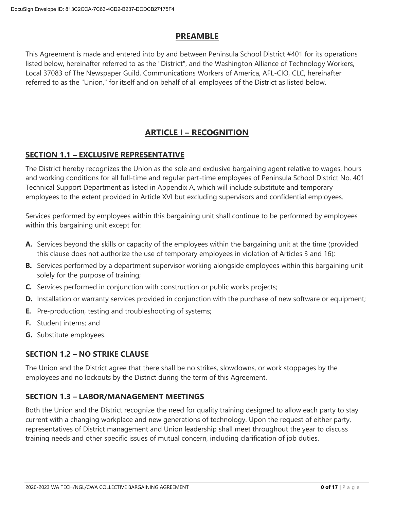## **PREAMBLE**

This Agreement is made and entered into by and between Peninsula School District #401 for its operations listed below, hereinafter referred to as the "District", and the Washington Alliance of Technology Workers, Local 37083 of The Newspaper Guild, Communications Workers of America, AFL-CIO, CLC, hereinafter referred to as the "Union," for itself and on behalf of all employees of the District as listed below.

## **ARTICLE I – RECOGNITION**

### **SECTION 1.1 – EXCLUSIVE REPRESENTATIVE**

The District hereby recognizes the Union as the sole and exclusive bargaining agent relative to wages, hours and working conditions for all full-time and regular part-time employees of Peninsula School District No. 401 Technical Support Department as listed in Appendix A, which will include substitute and temporary employees to the extent provided in Article XVI but excluding supervisors and confidential employees.

Services performed by employees within this bargaining unit shall continue to be performed by employees within this bargaining unit except for:

- **A.** Services beyond the skills or capacity of the employees within the bargaining unit at the time (provided this clause does not authorize the use of temporary employees in violation of Articles 3 and 16);
- **B.** Services performed by a department supervisor working alongside employees within this bargaining unit solely for the purpose of training;
- **C.** Services performed in conjunction with construction or public works projects;
- **D.** Installation or warranty services provided in conjunction with the purchase of new software or equipment;
- **E.** Pre-production, testing and troubleshooting of systems;
- **F.** Student interns; and
- **G.** Substitute employees.

## **SECTION 1.2 – NO STRIKE CLAUSE**

The Union and the District agree that there shall be no strikes, slowdowns, or work stoppages by the employees and no lockouts by the District during the term of this Agreement.

#### **SECTION 1.3 – LABOR/MANAGEMENT MEETINGS**

Both the Union and the District recognize the need for quality training designed to allow each party to stay current with a changing workplace and new generations of technology. Upon the request of either party, representatives of District management and Union leadership shall meet throughout the year to discuss training needs and other specific issues of mutual concern, including clarification of job duties.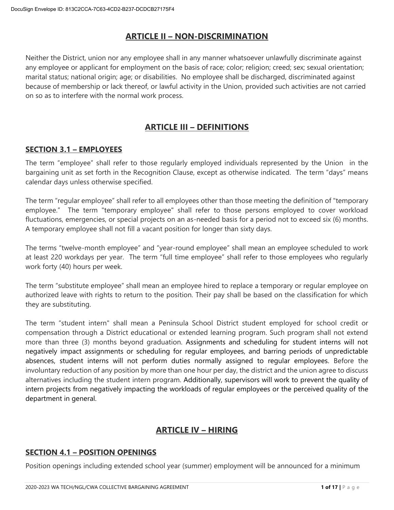## **ARTICLE II – NON-DISCRIMINATION**

Neither the District, union nor any employee shall in any manner whatsoever unlawfully discriminate against any employee or applicant for employment on the basis of race; color; religion; creed; sex; sexual orientation; marital status; national origin; age; or disabilities. No employee shall be discharged, discriminated against because of membership or lack thereof, or lawful activity in the Union, provided such activities are not carried on so as to interfere with the normal work process.

## **ARTICLE III – DEFINITIONS**

### **SECTION 3.1 – EMPLOYEES**

The term "employee" shall refer to those regularly employed individuals represented by the Union in the bargaining unit as set forth in the Recognition Clause, except as otherwise indicated. The term "days" means calendar days unless otherwise specified.

The term "regular employee" shall refer to all employees other than those meeting the definition of "temporary employee." The term "temporary employee" shall refer to those persons employed to cover workload fluctuations, emergencies, or special projects on an as-needed basis for a period not to exceed six (6) months. A temporary employee shall not fill a vacant position for longer than sixty days.

The terms "twelve-month employee" and "year-round employee" shall mean an employee scheduled to work at least 220 workdays per year. The term "full time employee" shall refer to those employees who regularly work forty (40) hours per week.

The term "substitute employee" shall mean an employee hired to replace a temporary or regular employee on authorized leave with rights to return to the position. Their pay shall be based on the classification for which they are substituting.

The term "student intern" shall mean a Peninsula School District student employed for school credit or compensation through a District educational or extended learning program. Such program shall not extend more than three (3) months beyond graduation. Assignments and scheduling for student interns will not negatively impact assignments or scheduling for regular employees, and barring periods of unpredictable absences, student interns will not perform duties normally assigned to regular employees. Before the involuntary reduction of any position by more than one hour per day, the district and the union agree to discuss alternatives including the student intern program. Additionally, supervisors will work to prevent the quality of intern projects from negatively impacting the workloads of regular employees or the perceived quality of the department in general.

## **ARTICLE IV – HIRING**

## **SECTION 4.1 – POSITION OPENINGS**

Position openings including extended school year (summer) employment will be announced for a minimum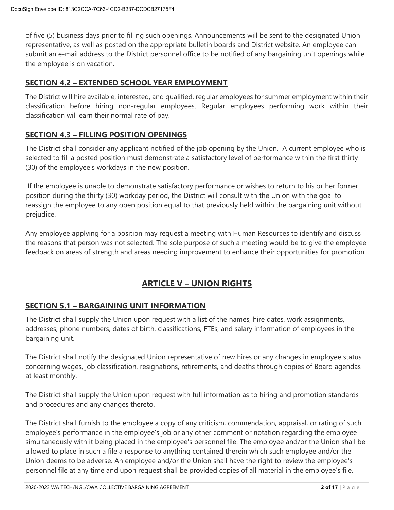of five (5) business days prior to filling such openings. Announcements will be sent to the designated Union representative, as well as posted on the appropriate bulletin boards and District website. An employee can submit an e-mail address to the District personnel office to be notified of any bargaining unit openings while the employee is on vacation.

## **SECTION 4.2 – EXTENDED SCHOOL YEAR EMPLOYMENT**

The District will hire available, interested, and qualified, regular employees for summer employment within their classification before hiring non-regular employees. Regular employees performing work within their classification will earn their normal rate of pay.

## **SECTION 4.3 – FILLING POSITION OPENINGS**

The District shall consider any applicant notified of the job opening by the Union. A current employee who is selected to fill a posted position must demonstrate a satisfactory level of performance within the first thirty (30) of the employee's workdays in the new position.

If the employee is unable to demonstrate satisfactory performance or wishes to return to his or her former position during the thirty (30) workday period, the District will consult with the Union with the goal to reassign the employee to any open position equal to that previously held within the bargaining unit without prejudice.

Any employee applying for a position may request a meeting with Human Resources to identify and discuss the reasons that person was not selected. The sole purpose of such a meeting would be to give the employee feedback on areas of strength and areas needing improvement to enhance their opportunities for promotion.

## **ARTICLE V – UNION RIGHTS**

## **SECTION 5.1 – BARGAINING UNIT INFORMATION**

The District shall supply the Union upon request with a list of the names, hire dates, work assignments, addresses, phone numbers, dates of birth, classifications, FTEs, and salary information of employees in the bargaining unit.

The District shall notify the designated Union representative of new hires or any changes in employee status concerning wages, job classification, resignations, retirements, and deaths through copies of Board agendas at least monthly.

The District shall supply the Union upon request with full information as to hiring and promotion standards and procedures and any changes thereto.

The District shall furnish to the employee a copy of any criticism, commendation, appraisal, or rating of such employee's performance in the employee's job or any other comment or notation regarding the employee simultaneously with it being placed in the employee's personnel file. The employee and/or the Union shall be allowed to place in such a file a response to anything contained therein which such employee and/or the Union deems to be adverse. An employee and/or the Union shall have the right to review the employee's personnel file at any time and upon request shall be provided copies of all material in the employee's file.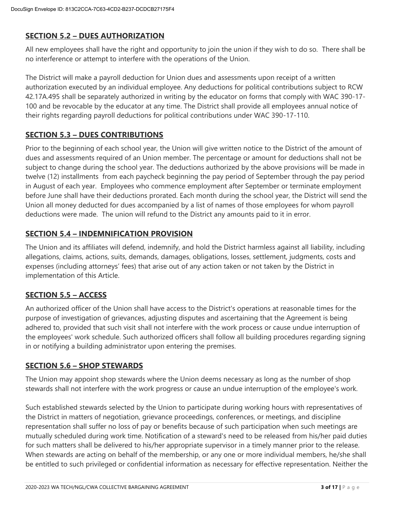## **SECTION 5.2 – DUES AUTHORIZATION**

All new employees shall have the right and opportunity to join the union if they wish to do so. There shall be no interference or attempt to interfere with the operations of the Union.

The District will make a payroll deduction for Union dues and assessments upon receipt of a written authorization executed by an individual employee. Any deductions for political contributions subject to RCW 42.17A.495 shall be separately authorized in writing by the educator on forms that comply with WAC 390-17- 100 and be revocable by the educator at any time. The District shall provide all employees annual notice of their rights regarding payroll deductions for political contributions under WAC 390-17-110.

## **SECTION 5.3 – DUES CONTRIBUTIONS**

Prior to the beginning of each school year, the Union will give written notice to the District of the amount of dues and assessments required of an Union member. The percentage or amount for deductions shall not be subject to change during the school year. The deductions authorized by the above provisions will be made in twelve (12) installments from each paycheck beginning the pay period of September through the pay period in August of each year. Employees who commence employment after September or terminate employment before June shall have their deductions prorated. Each month during the school year, the District will send the Union all money deducted for dues accompanied by a list of names of those employees for whom payroll deductions were made. The union will refund to the District any amounts paid to it in error.

## **SECTION 5.4 – INDEMNIFICATION PROVISION**

The Union and its affiliates will defend, indemnify, and hold the District harmless against all liability, including allegations, claims, actions, suits, demands, damages, obligations, losses, settlement, judgments, costs and expenses (including attorneys' fees) that arise out of any action taken or not taken by the District in implementation of this Article.

## **SECTION 5.5 – ACCESS**

An authorized officer of the Union shall have access to the District's operations at reasonable times for the purpose of investigation of grievances, adjusting disputes and ascertaining that the Agreement is being adhered to, provided that such visit shall not interfere with the work process or cause undue interruption of the employees' work schedule. Such authorized officers shall follow all building procedures regarding signing in or notifying a building administrator upon entering the premises.

#### **SECTION 5.6 – SHOP STEWARDS**

The Union may appoint shop stewards where the Union deems necessary as long as the number of shop stewards shall not interfere with the work progress or cause an undue interruption of the employee's work.

Such established stewards selected by the Union to participate during working hours with representatives of the District in matters of negotiation, grievance proceedings, conferences, or meetings, and discipline representation shall suffer no loss of pay or benefits because of such participation when such meetings are mutually scheduled during work time. Notification of a steward's need to be released from his/her paid duties for such matters shall be delivered to his/her appropriate supervisor in a timely manner prior to the release. When stewards are acting on behalf of the membership, or any one or more individual members, he/she shall be entitled to such privileged or confidential information as necessary for effective representation. Neither the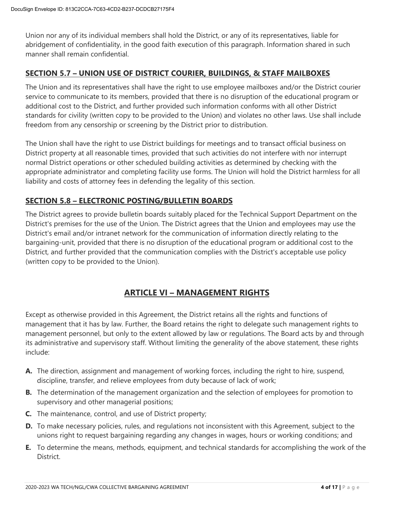Union nor any of its individual members shall hold the District, or any of its representatives, liable for abridgement of confidentiality, in the good faith execution of this paragraph. Information shared in such manner shall remain confidential.

### **SECTION 5.7 – UNION USE OF DISTRICT COURIER, BUILDINGS, & STAFF MAILBOXES**

The Union and its representatives shall have the right to use employee mailboxes and/or the District courier service to communicate to its members, provided that there is no disruption of the educational program or additional cost to the District, and further provided such information conforms with all other District standards for civility (written copy to be provided to the Union) and violates no other laws. Use shall include freedom from any censorship or screening by the District prior to distribution.

The Union shall have the right to use District buildings for meetings and to transact official business on District property at all reasonable times, provided that such activities do not interfere with nor interrupt normal District operations or other scheduled building activities as determined by checking with the appropriate administrator and completing facility use forms. The Union will hold the District harmless for all liability and costs of attorney fees in defending the legality of this section.

### **SECTION 5.8 – ELECTRONIC POSTING/BULLETIN BOARDS**

The District agrees to provide bulletin boards suitably placed for the Technical Support Department on the District's premises for the use of the Union. The District agrees that the Union and employees may use the District's email and/or intranet network for the communication of information directly relating to the bargaining-unit, provided that there is no disruption of the educational program or additional cost to the District, and further provided that the communication complies with the District's acceptable use policy (written copy to be provided to the Union).

## **ARTICLE VI – MANAGEMENT RIGHTS**

Except as otherwise provided in this Agreement, the District retains all the rights and functions of management that it has by law. Further, the Board retains the right to delegate such management rights to management personnel, but only to the extent allowed by law or regulations. The Board acts by and through its administrative and supervisory staff. Without limiting the generality of the above statement, these rights include:

- **A.** The direction, assignment and management of working forces, including the right to hire, suspend, discipline, transfer, and relieve employees from duty because of lack of work;
- **B.** The determination of the management organization and the selection of employees for promotion to supervisory and other managerial positions;
- **C.** The maintenance, control, and use of District property;
- **D.** To make necessary policies, rules, and regulations not inconsistent with this Agreement, subject to the unions right to request bargaining regarding any changes in wages, hours or working conditions; and
- **E.** To determine the means, methods, equipment, and technical standards for accomplishing the work of the District.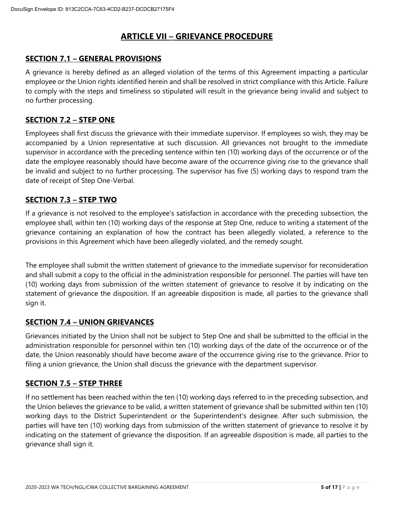## **ARTICLE VII – GRIEVANCE PROCEDURE**

## **SECTION 7.1 – GENERAL PROVISIONS**

A grievance is hereby defined as an alleged violation of the terms of this Agreement impacting a particular employee or the Union rights identified herein and shall be resolved in strict compliance with this Article. Failure to comply with the steps and timeliness so stipulated will result in the grievance being invalid and subject to no further processing.

#### **SECTION 7.2 – STEP ONE**

Employees shall first discuss the grievance with their immediate supervisor. If employees so wish, they may be accompanied by a Union representative at such discussion. All grievances not brought to the immediate supervisor in accordance with the preceding sentence within ten (10) working days of the occurrence or of the date the employee reasonably should have become aware of the occurrence giving rise to the grievance shall be invalid and subject to no further processing. The supervisor has five (5) working days to respond tram the date of receipt of Step One-Verbal.

### **SECTION 7.3 – STEP TWO**

If a grievance is not resolved to the employee's satisfaction in accordance with the preceding subsection, the employee shall, within ten (10) working days of the response at Step One, reduce to writing a statement of the grievance containing an explanation of how the contract has been allegedly violated, a reference to the provisions in this Agreement which have been allegedly violated, and the remedy sought.

The employee shall submit the written statement of grievance to the immediate supervisor for reconsideration and shall submit a copy to the official in the administration responsible for personnel. The parties will have ten (10) working days from submission of the written statement of grievance to resolve it by indicating on the statement of grievance the disposition. If an agreeable disposition is made, all parties to the grievance shall sign it.

#### **SECTION 7.4 – UNION GRIEVANCES**

Grievances initiated by the Union shall not be subject to Step One and shall be submitted to the official in the administration responsible for personnel within ten (10) working days of the date of the occurrence or of the date, the Union reasonably should have become aware of the occurrence giving rise to the grievance. Prior to filing a union grievance, the Union shall discuss the grievance with the department supervisor.

## **SECTION 7.5 – STEP THREE**

If no settlement has been reached within the ten (10) working days referred to in the preceding subsection, and the Union believes the grievance to be valid, a written statement of grievance shall be submitted within ten (10) working days to the District Superintendent or the Superintendent's designee. After such submission, the parties will have ten (10) working days from submission of the written statement of grievance to resolve it by indicating on the statement of grievance the disposition. If an agreeable disposition is made, all parties to the grievance shall sign it.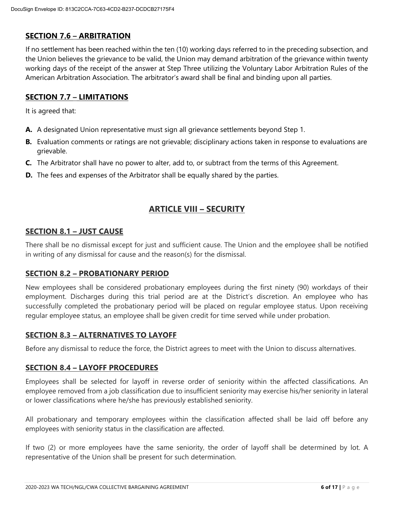## **SECTION 7.6 – ARBITRATION**

If no settlement has been reached within the ten (10) working days referred to in the preceding subsection, and the Union believes the grievance to be valid, the Union may demand arbitration of the grievance within twenty working days of the receipt of the answer at Step Three utilizing the Voluntary Labor Arbitration Rules of the American Arbitration Association. The arbitrator's award shall be final and binding upon all parties.

## **SECTION 7.7 – LIMITATIONS**

It is agreed that:

- **A.** A designated Union representative must sign all grievance settlements beyond Step 1.
- **B.** Evaluation comments or ratings are not grievable; disciplinary actions taken in response to evaluations are grievable.
- **C.** The Arbitrator shall have no power to alter, add to, or subtract from the terms of this Agreement.
- **D.** The fees and expenses of the Arbitrator shall be equally shared by the parties.

## **ARTICLE VIII – SECURITY**

#### **SECTION 8.1 – JUST CAUSE**

There shall be no dismissal except for just and sufficient cause. The Union and the employee shall be notified in writing of any dismissal for cause and the reason(s) for the dismissal.

#### **SECTION 8.2 – PROBATIONARY PERIOD**

New employees shall be considered probationary employees during the first ninety (90) workdays of their employment. Discharges during this trial period are at the District's discretion. An employee who has successfully completed the probationary period will be placed on regular employee status. Upon receiving regular employee status, an employee shall be given credit for time served while under probation.

#### **SECTION 8.3 – ALTERNATIVES TO LAYOFF**

Before any dismissal to reduce the force, the District agrees to meet with the Union to discuss alternatives.

#### **SECTION 8.4 – LAYOFF PROCEDURES**

Employees shall be selected for layoff in reverse order of seniority within the affected classifications. An employee removed from a job classification due to insufficient seniority may exercise his/her seniority in lateral or lower classifications where he/she has previously established seniority.

All probationary and temporary employees within the classification affected shall be laid off before any employees with seniority status in the classification are affected.

If two (2) or more employees have the same seniority, the order of layoff shall be determined by lot. A representative of the Union shall be present for such determination.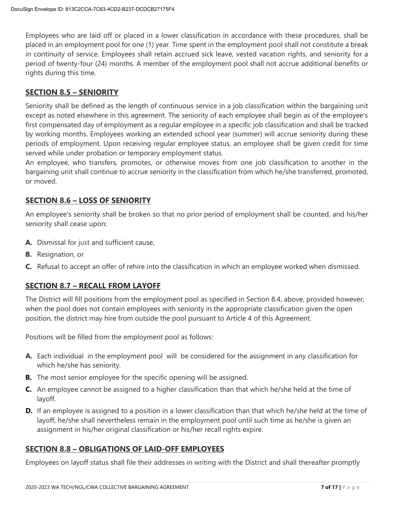Employees who are laid off or placed in a lower classification in accordance with these procedures, shall be placed in an employment pool for one (1) year. Time spent in the employment pool shall not constitute a break in continuity of service. Employees shall retain accrued sick leave, vested vacation rights, and seniority for a period of twenty-four (24) months. A member of the employment pool shall not accrue additional benefits or rights during this time.

## **SECTION 8.5 – SENIORITY**

Seniority shall be defined as the length of continuous service in a job classification within the bargaining unit except as noted elsewhere in this agreement. The seniority of each employee shall begin as of the employee's first compensated day of employment as a regular employee in a specific job classification and shall be tracked by working months. Employees working an extended school year (summer) will accrue seniority during these periods of employment. Upon receiving regular employee status, an employee shall be given credit for time served while under probation or temporary employment status.

An employee, who transfers, promotes, or otherwise moves from one job classification to another in the bargaining unit shall continue to accrue seniority in the classification from which he/she transferred, promoted, or moved.

## **SECTION 8.6 – LOSS OF SENIORITY**

An employee's seniority shall be broken so that no prior period of employment shall be counted, and his/her seniority shall cease upon:

- **A.** Dismissal for just and sufficient cause,
- **B.** Resignation, or
- **C.** Refusal to accept an offer of rehire into the classification in which an employee worked when dismissed.

## **SECTION 8.7 – RECALL FROM LAYOFF**

The District will fill positions from the employment pool as specified in Section 8.4, above, provided however, when the pool does not contain employees with seniority in the appropriate classification given the open position, the district may hire from outside the pool pursuant to Article 4 of this Agreement.

Positions will be filled from the employment pool as follows:

- **A.** Each individual in the employment pool will be considered for the assignment in any classification for which he/she has seniority.
- **B.** The most senior employee for the specific opening will be assigned.
- **C.** An employee cannot be assigned to a higher classification than that which he/she held at the time of layoff.
- **D.** If an employee is assigned to a position in a lower classification than that which he/she held at the time of layoff, he/she shall nevertheless remain in the employment pool until such time as he/she is given an assignment in his/her original classification or his/her recall rights expire.

#### **SECTION 8.8 – OBLIGATIONS OF LAID-OFF EMPLOYEES**

Employees on layoff status shall file their addresses in writing with the District and shall thereafter promptly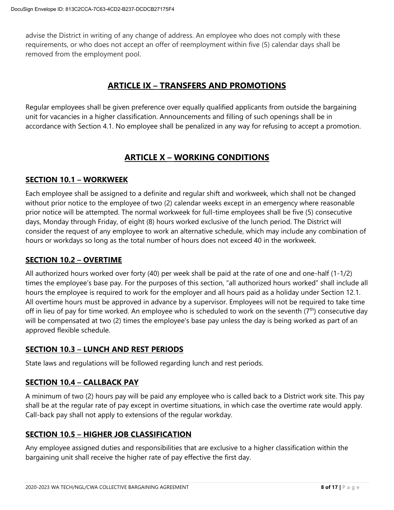advise the District in writing of any change of address. An employee who does not comply with these requirements, or who does not accept an offer of reemployment within five (5) calendar days shall be removed from the employment pool.

## **ARTICLE IX – TRANSFERS AND PROMOTIONS**

Regular employees shall be given preference over equally qualified applicants from outside the bargaining unit for vacancies in a higher classification. Announcements and filling of such openings shall be in accordance with Section 4.1. No employee shall be penalized in any way for refusing to accept a promotion.

## **ARTICLE X – WORKING CONDITIONS**

## **SECTION 10.1 – WORKWEEK**

Each employee shall be assigned to a definite and regular shift and workweek, which shall not be changed without prior notice to the employee of two (2) calendar weeks except in an emergency where reasonable prior notice will be attempted. The normal workweek for full-time employees shall be five (5) consecutive days, Monday through Friday, of eight (8) hours worked exclusive of the lunch period. The District will consider the request of any employee to work an alternative schedule, which may include any combination of hours or workdays so long as the total number of hours does not exceed 40 in the workweek.

## **SECTION 10.2 – OVERTIME**

All authorized hours worked over forty (40) per week shall be paid at the rate of one and one-half (1-1/2) times the employee's base pay. For the purposes of this section, "all authorized hours worked" shall include all hours the employee is required to work for the employer and all hours paid as a holiday under Section 12.1. All overtime hours must be approved in advance by a supervisor. Employees will not be required to take time off in lieu of pay for time worked. An employee who is scheduled to work on the seventh  $(7<sup>th</sup>)$  consecutive day will be compensated at two (2) times the employee's base pay unless the day is being worked as part of an approved flexible schedule.

## **SECTION 10.3 – LUNCH AND REST PERIODS**

State laws and regulations will be followed regarding lunch and rest periods.

## **SECTION 10.4 – CALLBACK PAY**

A minimum of two (2) hours pay will be paid any employee who is called back to a District work site. This pay shall be at the regular rate of pay except in overtime situations, in which case the overtime rate would apply. Call-back pay shall not apply to extensions of the regular workday.

## **SECTION 10.5 – HIGHER JOB CLASSIFICATION**

Any employee assigned duties and responsibilities that are exclusive to a higher classification within the bargaining unit shall receive the higher rate of pay effective the first day.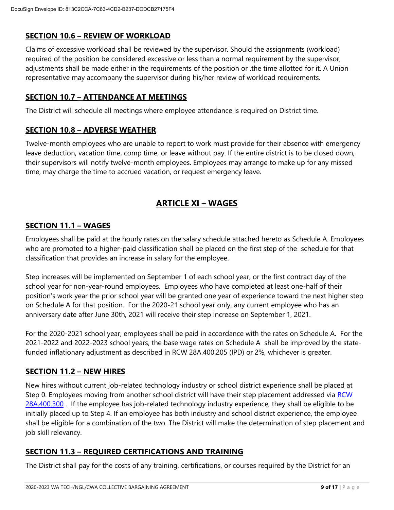## **SECTION 10.6 – REVIEW OF WORKLOAD**

Claims of excessive workload shall be reviewed by the supervisor. Should the assignments (workload) required of the position be considered excessive or less than a normal requirement by the supervisor, adjustments shall be made either in the requirements of the position or .the time allotted for it. A Union representative may accompany the supervisor during his/her review of workload requirements.

## **SECTION 10.7 – ATTENDANCE AT MEETINGS**

The District will schedule all meetings where employee attendance is required on District time.

### **SECTION 10.8 – ADVERSE WEATHER**

Twelve-month employees who are unable to report to work must provide for their absence with emergency leave deduction, vacation time, comp time, or leave without pay. If the entire district is to be closed down, their supervisors will notify twelve-month employees. Employees may arrange to make up for any missed time, may charge the time to accrued vacation, or request emergency leave.

## **ARTICLE XI – WAGES**

### **SECTION 11.1 – WAGES**

Employees shall be paid at the hourly rates on the salary schedule attached hereto as Schedule A. Employees who are promoted to a higher-paid classification shall be placed on the first step of the schedule for that classification that provides an increase in salary for the employee.

Step increases will be implemented on September 1 of each school year, or the first contract day of the school year for non-year-round employees. Employees who have completed at least one-half of their position's work year the prior school year will be granted one year of experience toward the next higher step on Schedule A for that position. For the 2020-21 school year only, any current employee who has an anniversary date after June 30th, 2021 will receive their step increase on September 1, 2021.

For the 2020-2021 school year, employees shall be paid in accordance with the rates on Schedule A. For the 2021-2022 and 2022-2023 school years, the base wage rates on Schedule A shall be improved by the statefunded inflationary adjustment as described in RCW 28A.400.205 (IPD) or 2%, whichever is greater.

#### **SECTION 11.2 – NEW HIRES**

New hires without current job-related technology industry or school district experience shall be placed at Step 0. Employees moving from another school district will have their step placement addressed via RCW [28A.400.300](https://app.leg.wa.gov/RCW/default.aspx?cite=28A.400.300) . If the employee has job-related technology industry experience, they shall be eligible to be initially placed up to Step 4. If an employee has both industry and school district experience, the employee shall be eligible for a combination of the two. The District will make the determination of step placement and job skill relevancy.

## **SECTION 11.3 – REQUIRED CERTIFICATIONS AND TRAINING**

The District shall pay for the costs of any training, certifications, or courses required by the District for an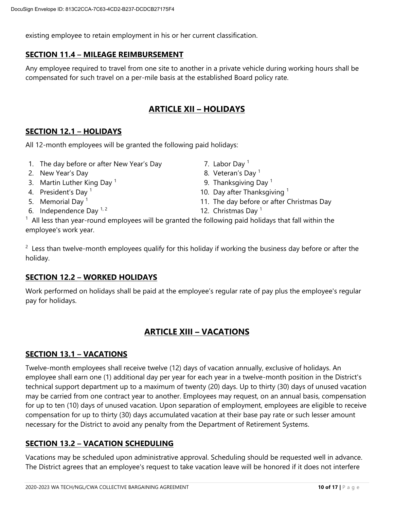existing employee to retain employment in his or her current classification.

#### **SECTION 11.4 – MILEAGE REIMBURSEMENT**

Any employee required to travel from one site to another in a private vehicle during working hours shall be compensated for such travel on a per-mile basis at the established Board policy rate.

## **ARTICLE XII – HOLIDAYS**

### **SECTION 12.1 – HOLIDAYS**

All 12-month employees will be granted the following paid holidays:

- 1. The day before or after New Year's Day  $\sim 7$ . Labor Day <sup>1</sup>
- 2. New Year's Day 8. Veteran's Day 1
- 3. Martin Luther King Day<sup>1</sup>
- 4. President's Day <sup>1</sup>
- 5. Memorial Day  $1$
- 6. Independence Day  $1/2$  12. Christmas Day 1
- 
- 
- 9. Thanksgiving Day  $1$
- 10. Day after Thanksgiving  $<sup>1</sup>$ </sup>
- 11. The day before or after Christmas Day
	-

 $1$  All less than year-round employees will be granted the following paid holidays that fall within the employee's work year.

 $2$  Less than twelve-month employees qualify for this holiday if working the business day before or after the holiday.

#### **SECTION 12.2 – WORKED HOLIDAYS**

Work performed on holidays shall be paid at the employee's regular rate of pay plus the employee's regular pay for holidays.

## **ARTICLE XIII – VACATIONS**

#### **SECTION 13.1 – VACATIONS**

Twelve-month employees shall receive twelve (12) days of vacation annually, exclusive of holidays. An employee shall earn one (1) additional day per year for each year in a twelve-month position in the District's technical support department up to a maximum of twenty (20) days. Up to thirty (30) days of unused vacation may be carried from one contract year to another. Employees may request, on an annual basis, compensation for up to ten (10) days of unused vacation. Upon separation of employment, employees are eligible to receive compensation for up to thirty (30) days accumulated vacation at their base pay rate or such lesser amount necessary for the District to avoid any penalty from the Department of Retirement Systems.

#### **SECTION 13.2 – VACATION SCHEDULING**

Vacations may be scheduled upon administrative approval. Scheduling should be requested well in advance. The District agrees that an employee's request to take vacation leave will be honored if it does not interfere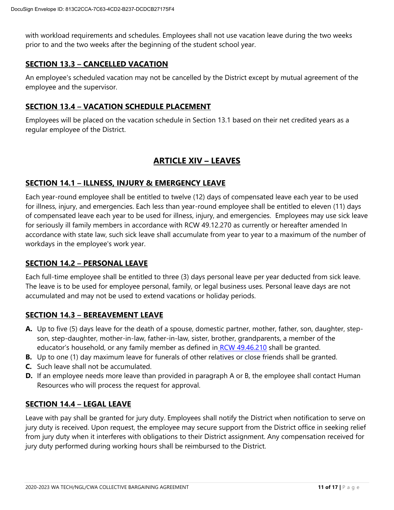with workload requirements and schedules. Employees shall not use vacation leave during the two weeks prior to and the two weeks after the beginning of the student school year.

## **SECTION 13.3 – CANCELLED VACATION**

An employee's scheduled vacation may not be cancelled by the District except by mutual agreement of the employee and the supervisor.

#### **SECTION 13.4 – VACATION SCHEDULE PLACEMENT**

Employees will be placed on the vacation schedule in Section 13.1 based on their net credited years as a regular employee of the District.

## **ARTICLE XIV – LEAVES**

## **SECTION 14.1 – ILLNESS, INJURY & EMERGENCY LEAVE**

Each year-round employee shall be entitled to twelve (12) days of compensated leave each year to be used for illness, injury, and emergencies. Each less than year-round employee shall be entitled to eleven (11) days of compensated leave each year to be used for illness, injury, and emergencies. Employees may use sick leave for seriously ill family members in accordance with RCW 49.12.270 as currently or hereafter amended In accordance with state law, such sick leave shall accumulate from year to year to a maximum of the number of workdays in the employee's work year.

#### **SECTION 14.2 – PERSONAL LEAVE**

Each full-time employee shall be entitled to three (3) days personal leave per year deducted from sick leave. The leave is to be used for employee personal, family, or legal business uses. Personal leave days are not accumulated and may not be used to extend vacations or holiday periods.

#### **SECTION 14.3 – BEREAVEMENT LEAVE**

- **A.** Up to five (5) days leave for the death of a spouse, domestic partner, mother, father, son, daughter, stepson, step-daughter, mother-in-law, father-in-law, sister, brother, grandparents, a member of the educator's household, or any family member as defined in [RCW 49.46.210](https://app.leg.wa.gov/rcw/default.aspx?cite=49.46.210) shall be granted.
- **B.** Up to one (1) day maximum leave for funerals of other relatives or close friends shall be granted.
- **C.** Such leave shall not be accumulated.
- **D.** If an employee needs more leave than provided in paragraph A or B, the employee shall contact Human Resources who will process the request for approval.

#### **SECTION 14.4 – LEGAL LEAVE**

Leave with pay shall be granted for jury duty. Employees shall notify the District when notification to serve on jury duty is received. Upon request, the employee may secure support from the District office in seeking relief from jury duty when it interferes with obligations to their District assignment. Any compensation received for jury duty performed during working hours shall be reimbursed to the District.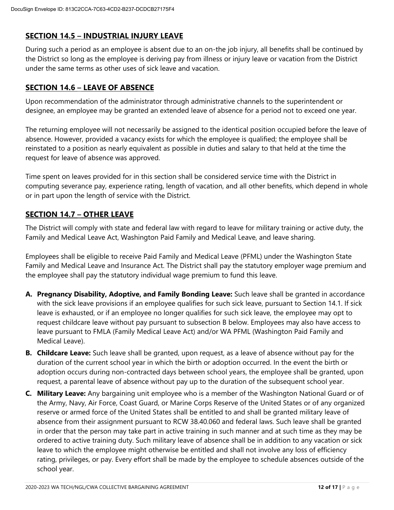## **SECTION 14.5 – INDUSTRIAL INJURY LEAVE**

During such a period as an employee is absent due to an on-the job injury, all benefits shall be continued by the District so long as the employee is deriving pay from illness or injury leave or vacation from the District under the same terms as other uses of sick leave and vacation.

## **SECTION 14.6 – LEAVE OF ABSENCE**

Upon recommendation of the administrator through administrative channels to the superintendent or designee, an employee may be granted an extended leave of absence for a period not to exceed one year.

The returning employee will not necessarily be assigned to the identical position occupied before the leave of absence. However, provided a vacancy exists for which the employee is qualified; the employee shall be reinstated to a position as nearly equivalent as possible in duties and salary to that held at the time the request for leave of absence was approved.

Time spent on leaves provided for in this section shall be considered service time with the District in computing severance pay, experience rating, length of vacation, and all other benefits, which depend in whole or in part upon the length of service with the District.

## **SECTION 14.7 – OTHER LEAVE**

The District will comply with state and federal law with regard to leave for military training or active duty, the Family and Medical Leave Act, Washington Paid Family and Medical Leave, and leave sharing.

Employees shall be eligible to receive Paid Family and Medical Leave (PFML) under the Washington State Family and Medical Leave and Insurance Act. The District shall pay the statutory employer wage premium and the employee shall pay the statutory individual wage premium to fund this leave.

- **A. Pregnancy Disability, Adoptive, and Family Bonding Leave:** Such leave shall be granted in accordance with the sick leave provisions if an employee qualifies for such sick leave, pursuant to Section 14.1. If sick leave is exhausted, or if an employee no longer qualifies for such sick leave, the employee may opt to request childcare leave without pay pursuant to subsection B below. Employees may also have access to leave pursuant to FMLA (Family Medical Leave Act) and/or WA PFML (Washington Paid Family and Medical Leave).
- **B. Childcare Leave:** Such leave shall be granted, upon request, as a leave of absence without pay for the duration of the current school year in which the birth or adoption occurred. In the event the birth or adoption occurs during non-contracted days between school years, the employee shall be granted, upon request, a parental leave of absence without pay up to the duration of the subsequent school year.
- **C. Military Leave:** Any bargaining unit employee who is a member of the Washington National Guard or of the Army, Navy, Air Force, Coast Guard, or Marine Corps Reserve of the United States or of any organized reserve or armed force of the United States shall be entitled to and shall be granted military leave of absence from their assignment pursuant to RCW 38.40.060 and federal laws. Such leave shall be granted in order that the person may take part in active training in such manner and at such time as they may be ordered to active training duty. Such military leave of absence shall be in addition to any vacation or sick leave to which the employee might otherwise be entitled and shall not involve any loss of efficiency rating, privileges, or pay. Every effort shall be made by the employee to schedule absences outside of the school year.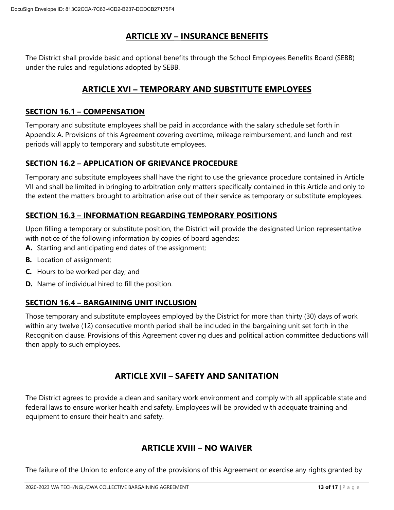## **ARTICLE XV – INSURANCE BENEFITS**

The District shall provide basic and optional benefits through the School Employees Benefits Board (SEBB) under the rules and regulations adopted by SEBB.

## **ARTICLE XVI – TEMPORARY AND SUBSTITUTE EMPLOYEES**

## **SECTION 16.1 – COMPENSATION**

Temporary and substitute employees shall be paid in accordance with the salary schedule set forth in Appendix A. Provisions of this Agreement covering overtime, mileage reimbursement, and lunch and rest periods will apply to temporary and substitute employees.

### **SECTION 16.2 – APPLICATION OF GRIEVANCE PROCEDURE**

Temporary and substitute employees shall have the right to use the grievance procedure contained in Article VII and shall be limited in bringing to arbitration only matters specifically contained in this Article and only to the extent the matters brought to arbitration arise out of their service as temporary or substitute employees.

## **SECTION 16.3 – INFORMATION REGARDING TEMPORARY POSITIONS**

Upon filling a temporary or substitute position, the District will provide the designated Union representative with notice of the following information by copies of board agendas:

- **A.** Starting and anticipating end dates of the assignment;
- **B.** Location of assignment;
- **C.** Hours to be worked per day; and
- **D.** Name of individual hired to fill the position.

## **SECTION 16.4 – BARGAINING UNIT INCLUSION**

Those temporary and substitute employees employed by the District for more than thirty (30) days of work within any twelve (12) consecutive month period shall be included in the bargaining unit set forth in the Recognition clause. Provisions of this Agreement covering dues and political action committee deductions will then apply to such employees.

## **ARTICLE XVII – SAFETY AND SANITATION**

The District agrees to provide a clean and sanitary work environment and comply with all applicable state and federal laws to ensure worker health and safety. Employees will be provided with adequate training and equipment to ensure their health and safety.

## **ARTICLE XVIII – NO WAIVER**

The failure of the Union to enforce any of the provisions of this Agreement or exercise any rights granted by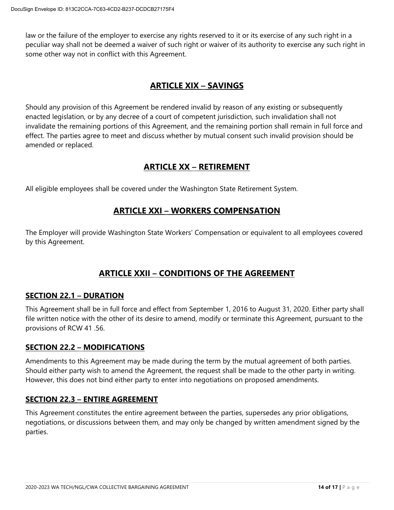law or the failure of the employer to exercise any rights reserved to it or its exercise of any such right in a peculiar way shall not be deemed a waiver of such right or waiver of its authority to exercise any such right in some other way not in conflict with this Agreement.

## **ARTICLE XIX – SAVINGS**

Should any provision of this Agreement be rendered invalid by reason of any existing or subsequently enacted legislation, or by any decree of a court of competent jurisdiction, such invalidation shall not invalidate the remaining portions of this Agreement, and the remaining portion shall remain in full force and effect. The parties agree to meet and discuss whether by mutual consent such invalid provision should be amended or replaced.

## **ARTICLE XX – RETIREMENT**

All eligible employees shall be covered under the Washington State Retirement System.

## **ARTICLE XXI – WORKERS COMPENSATION**

The Employer will provide Washington State Workers' Compensation or equivalent to all employees covered by this Agreement.

## **ARTICLE XXII – CONDITIONS OF THE AGREEMENT**

#### **SECTION 22.1 – DURATION**

This Agreement shall be in full force and effect from September 1, 2016 to August 31, 2020. Either party shall file written notice with the other of its desire to amend, modify or terminate this Agreement, pursuant to the provisions of RCW 41 .56.

#### **SECTION 22.2 – MODIFICATIONS**

Amendments to this Agreement may be made during the term by the mutual agreement of both parties. Should either party wish to amend the Agreement, the request shall be made to the other party in writing. However, this does not bind either party to enter into negotiations on proposed amendments.

#### **SECTION 22.3 – ENTIRE AGREEMENT**

This Agreement constitutes the entire agreement between the parties, supersedes any prior obligations, negotiations, or discussions between them, and may only be changed by written amendment signed by the parties.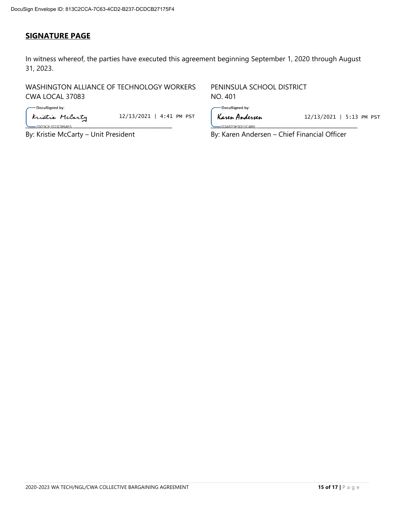## **SIGNATURE PAGE**

In witness whereof, the parties have executed this agreement beginning September 1, 2020 through August 31, 2023.

WASHINGTON ALLIANCE OF TECHNOLOGY WORKERS PENINSULA SCHOOL DISTRICT CWA LOCAL 37083 NO. 401

-DocuSigned by:

**Kristie McCarty** 12/13/2021 | 4:41 PM PST | **Karen Andersen** 12/13/2021 | 5:13 PM PST

-DocuSigned by:

\_\_\_\_\_\_\_\_\_\_\_\_\_\_\_\_\_\_\_\_\_\_\_\_\_\_\_\_\_\_\_\_\_\_\_\_\_\_\_\_\_\_\_\_\_\_\_\_\_\_ \_\_\_\_\_\_\_\_\_\_\_\_\_\_\_\_\_\_\_\_\_\_\_\_\_\_\_\_\_\_\_\_\_\_\_\_\_\_\_\_\_\_\_\_\_\_\_\_\_\_

By: Kristie McCarty – Unit President By: Karen Andersen – Chief Financial Officer